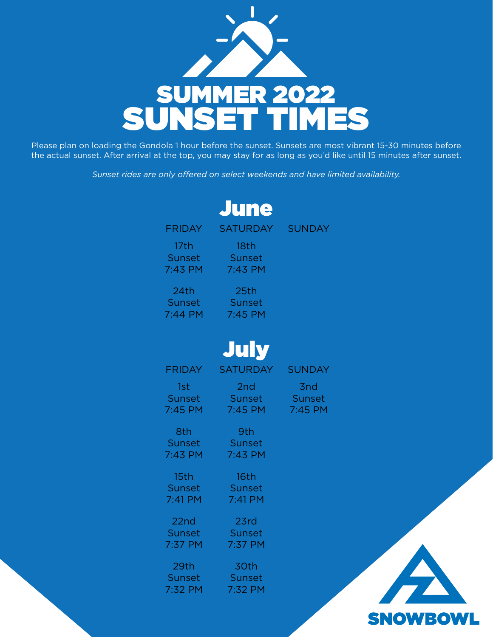

Please plan on loading the Gondola 1 hour before the sunset. Sunsets are most vibrant 15-30 minutes before the actual sunset. After arrival at the top, you may stay for as long as you'd like until 15 minutes after sunset.

*Sunset rides are only offered on select weekends and have limited availability.*

|                                         | <b>June</b>                                 |                            |
|-----------------------------------------|---------------------------------------------|----------------------------|
|                                         | FRIDAY SATURDAY SUNDAY                      |                            |
| 17 <sub>th</sub><br>Sunset N<br>7:43 PM | 18th<br>Sunset<br>7:43 PM                   |                            |
| 24th<br><b>Sunset</b><br>7:44 PM        | 25th<br>Sunset<br>7:45 PM                   |                            |
|                                         | July                                        |                            |
| <b>FRIDAY</b>                           | <b>SATURDAY</b>                             | <b>SUNDAY</b>              |
| - 1st<br>Sunset<br>7:45 PM              | 2 <sub>nd</sub><br>Sunset Sunset<br>7:45 PM | 3 <sub>nd</sub><br>7:45 PM |
| 8th<br>Sunset<br>7:43 PM                | 9th<br>Sunset<br>7:43 PM                    |                            |
| 15th<br>Sunset                          | 16th<br>Sunset                              |                            |

7:41 PM

23rd Sunset 7:37 PM

30th Sunset 7:32 PM

7:41 PM

22nd **Sunset** 7:37 PM

29th Sunset 7:32 PM **SNOWBOWL**